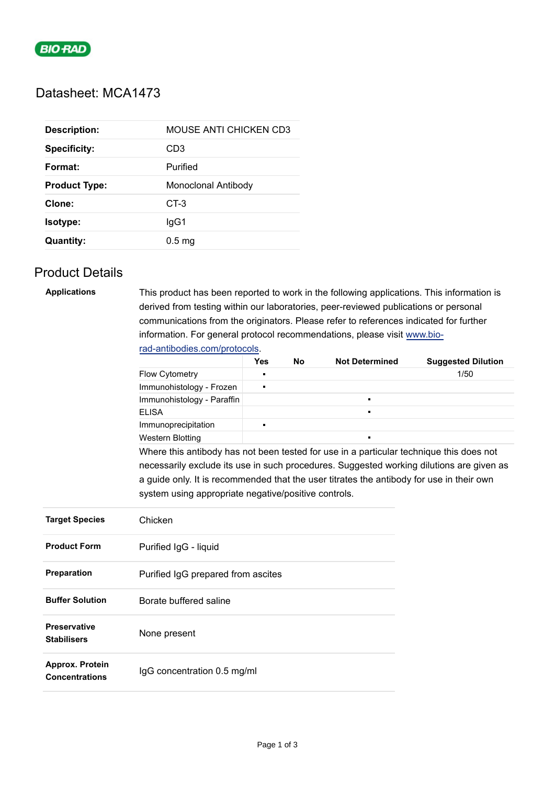

## Datasheet: MCA1473

| <b>Description:</b>  | MOUSE ANTI CHICKEN CD3 |
|----------------------|------------------------|
| <b>Specificity:</b>  | CD <sub>3</sub>        |
| Format:              | Purified               |
| <b>Product Type:</b> | Monoclonal Antibody    |
| Clone:               | $CT-3$                 |
| Isotype:             | lgG1                   |
| <b>Quantity:</b>     | 0.5 <sub>ma</sub>      |

## Product Details

| <b>Applications</b>    | This product has been reported to work in the following applications. This information is |                                                                                          |  |                |      |  |  |  |  |
|------------------------|-------------------------------------------------------------------------------------------|------------------------------------------------------------------------------------------|--|----------------|------|--|--|--|--|
|                        | derived from testing within our laboratories, peer-reviewed publications or personal      |                                                                                          |  |                |      |  |  |  |  |
|                        | communications from the originators. Please refer to references indicated for further     |                                                                                          |  |                |      |  |  |  |  |
|                        | information. For general protocol recommendations, please visit www.bio-                  |                                                                                          |  |                |      |  |  |  |  |
|                        | rad-antibodies.com/protocols.                                                             |                                                                                          |  |                |      |  |  |  |  |
|                        | <b>Not Determined</b><br><b>Suggested Dilution</b><br>Yes<br>No                           |                                                                                          |  |                |      |  |  |  |  |
|                        | Flow Cytometry                                                                            | Е                                                                                        |  |                | 1/50 |  |  |  |  |
|                        | Immunohistology - Frozen                                                                  | $\blacksquare$                                                                           |  |                |      |  |  |  |  |
|                        | Immunohistology - Paraffin                                                                |                                                                                          |  | $\blacksquare$ |      |  |  |  |  |
|                        | <b>ELISA</b>                                                                              |                                                                                          |  |                |      |  |  |  |  |
|                        | Immunoprecipitation                                                                       | $\blacksquare$                                                                           |  |                |      |  |  |  |  |
|                        | <b>Western Blotting</b>                                                                   |                                                                                          |  |                |      |  |  |  |  |
|                        | Where this antibody has not been tested for use in a particular technique this does not   |                                                                                          |  |                |      |  |  |  |  |
|                        |                                                                                           | necessarily exclude its use in such procedures. Suggested working dilutions are given as |  |                |      |  |  |  |  |
|                        | a guide only. It is recommended that the user titrates the antibody for use in their own  |                                                                                          |  |                |      |  |  |  |  |
|                        | system using appropriate negative/positive controls.                                      |                                                                                          |  |                |      |  |  |  |  |
|                        |                                                                                           |                                                                                          |  |                |      |  |  |  |  |
| <b>Target Species</b>  | Chicken                                                                                   |                                                                                          |  |                |      |  |  |  |  |
|                        |                                                                                           |                                                                                          |  |                |      |  |  |  |  |
| <b>Product Form</b>    | Purified IgG - liquid                                                                     |                                                                                          |  |                |      |  |  |  |  |
|                        |                                                                                           |                                                                                          |  |                |      |  |  |  |  |
| Preparation            | Purified IgG prepared from ascites                                                        |                                                                                          |  |                |      |  |  |  |  |
|                        |                                                                                           |                                                                                          |  |                |      |  |  |  |  |
| <b>Buffer Solution</b> | Borate buffered saline                                                                    |                                                                                          |  |                |      |  |  |  |  |
| <b>Preservative</b>    |                                                                                           |                                                                                          |  |                |      |  |  |  |  |
| <b>Stabilisers</b>     | None present                                                                              |                                                                                          |  |                |      |  |  |  |  |
|                        |                                                                                           |                                                                                          |  |                |      |  |  |  |  |
| Approx. Protein        |                                                                                           |                                                                                          |  |                |      |  |  |  |  |
| <b>Concentrations</b>  | IgG concentration 0.5 mg/ml                                                               |                                                                                          |  |                |      |  |  |  |  |
|                        |                                                                                           |                                                                                          |  |                |      |  |  |  |  |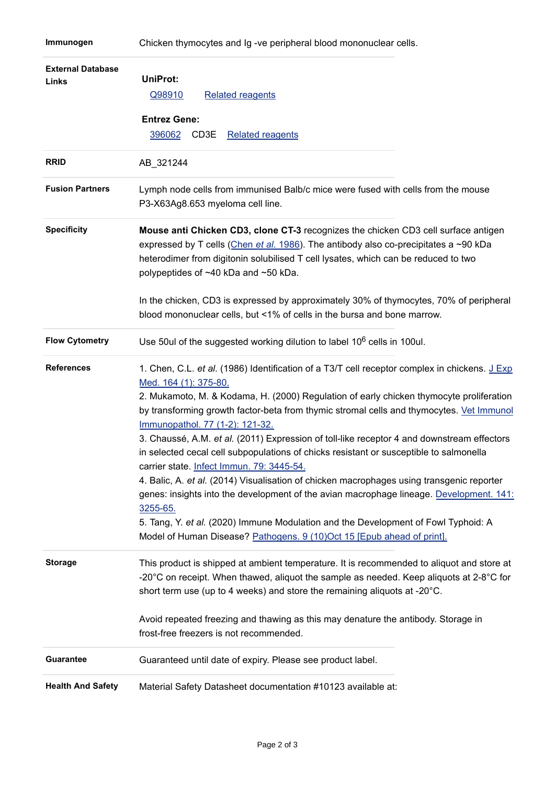## **Immunogen** Chicken thymocytes and Ig -ve peripheral blood mononuclear cells.

| <b>External Database</b><br>Links | UniProt:<br>Q98910<br><b>Related reagents</b><br><b>Entrez Gene:</b><br>396062<br>CD3E<br><b>Related reagents</b>                                                                                                                                                                                                                                                                                                                                                                                                                                                                                                                                                                                                                                                                                                                                                                                                                                         |
|-----------------------------------|-----------------------------------------------------------------------------------------------------------------------------------------------------------------------------------------------------------------------------------------------------------------------------------------------------------------------------------------------------------------------------------------------------------------------------------------------------------------------------------------------------------------------------------------------------------------------------------------------------------------------------------------------------------------------------------------------------------------------------------------------------------------------------------------------------------------------------------------------------------------------------------------------------------------------------------------------------------|
| <b>RRID</b>                       | AB_321244                                                                                                                                                                                                                                                                                                                                                                                                                                                                                                                                                                                                                                                                                                                                                                                                                                                                                                                                                 |
| <b>Fusion Partners</b>            | Lymph node cells from immunised Balb/c mice were fused with cells from the mouse<br>P3-X63Ag8.653 myeloma cell line.                                                                                                                                                                                                                                                                                                                                                                                                                                                                                                                                                                                                                                                                                                                                                                                                                                      |
| <b>Specificity</b>                | Mouse anti Chicken CD3, clone CT-3 recognizes the chicken CD3 cell surface antigen<br>expressed by T cells (Chen et al. 1986). The antibody also co-precipitates a ~90 kDa<br>heterodimer from digitonin solubilised T cell lysates, which can be reduced to two<br>polypeptides of ~40 kDa and ~50 kDa.<br>In the chicken, CD3 is expressed by approximately 30% of thymocytes, 70% of peripheral<br>blood mononuclear cells, but <1% of cells in the bursa and bone marrow.                                                                                                                                                                                                                                                                                                                                                                                                                                                                             |
| <b>Flow Cytometry</b>             | Use 50ul of the suggested working dilution to label 10 <sup>6</sup> cells in 100ul.                                                                                                                                                                                                                                                                                                                                                                                                                                                                                                                                                                                                                                                                                                                                                                                                                                                                       |
| <b>References</b>                 | 1. Chen, C.L. et al. (1986) Identification of a T3/T cell receptor complex in chickens. J Exp<br>Med. 164 (1): 375-80.<br>2. Mukamoto, M. & Kodama, H. (2000) Regulation of early chicken thymocyte proliferation<br>by transforming growth factor-beta from thymic stromal cells and thymocytes. Vet Immunol<br>Immunopathol. 77 (1-2): 121-32.<br>3. Chaussé, A.M. et al. (2011) Expression of toll-like receptor 4 and downstream effectors<br>in selected cecal cell subpopulations of chicks resistant or susceptible to salmonella<br>carrier state. Infect Immun. 79: 3445-54.<br>4. Balic, A. et al. (2014) Visualisation of chicken macrophages using transgenic reporter<br>genes: insights into the development of the avian macrophage lineage. Development. 141:<br>3255-65.<br>5. Tang, Y. et al. (2020) Immune Modulation and the Development of Fowl Typhoid: A<br>Model of Human Disease? Pathogens. 9 (10)Oct 15 [Epub ahead of print]. |
| <b>Storage</b>                    | This product is shipped at ambient temperature. It is recommended to aliquot and store at<br>-20 $^{\circ}$ C on receipt. When thawed, aliquot the sample as needed. Keep aliquots at 2-8 $^{\circ}$ C for<br>short term use (up to 4 weeks) and store the remaining aliquots at -20°C.<br>Avoid repeated freezing and thawing as this may denature the antibody. Storage in<br>frost-free freezers is not recommended.                                                                                                                                                                                                                                                                                                                                                                                                                                                                                                                                   |
| <b>Guarantee</b>                  | Guaranteed until date of expiry. Please see product label.                                                                                                                                                                                                                                                                                                                                                                                                                                                                                                                                                                                                                                                                                                                                                                                                                                                                                                |
| <b>Health And Safety</b>          | Material Safety Datasheet documentation #10123 available at:                                                                                                                                                                                                                                                                                                                                                                                                                                                                                                                                                                                                                                                                                                                                                                                                                                                                                              |